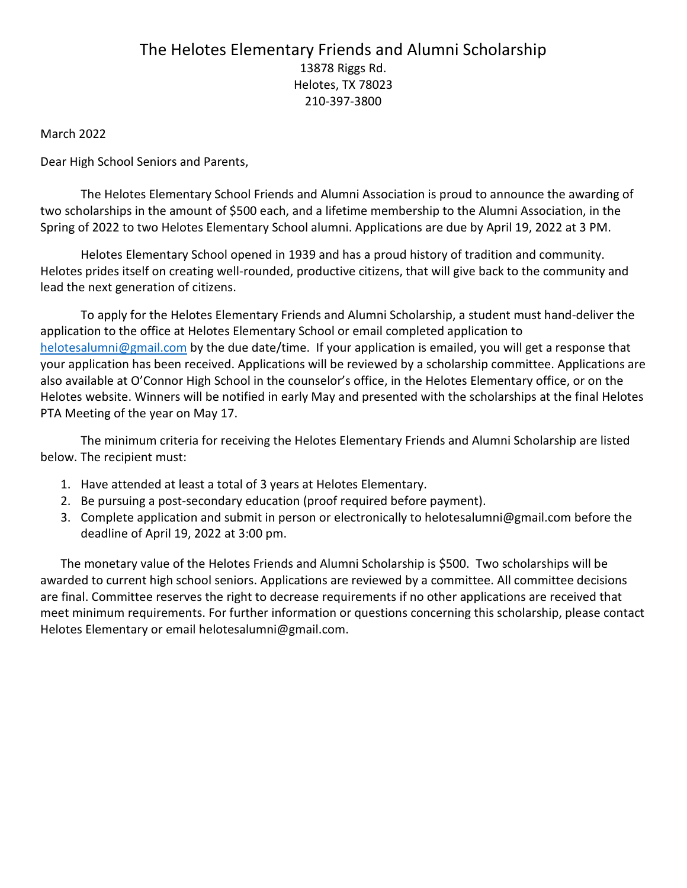## The Helotes Elementary Friends and Alumni Scholarship 13878 Riggs Rd. Helotes, TX 78023 210-397-3800

March 2022

Dear High School Seniors and Parents,

The Helotes Elementary School Friends and Alumni Association is proud to announce the awarding of two scholarships in the amount of \$500 each, and a lifetime membership to the Alumni Association, in the Spring of 2022 to two Helotes Elementary School alumni. Applications are due by April 19, 2022 at 3 PM.

Helotes Elementary School opened in 1939 and has a proud history of tradition and community. Helotes prides itself on creating well-rounded, productive citizens, that will give back to the community and lead the next generation of citizens.

To apply for the Helotes Elementary Friends and Alumni Scholarship, a student must hand-deliver the application to the office at Helotes Elementary School or email completed application to helotesalumni@gmail.com by the due date/time. If your application is emailed, you will get a response that your application has been received. Applications will be reviewed by a scholarship committee. Applications are also available at O'Connor High School in the counselor's office, in the Helotes Elementary office, or on the Helotes website. Winners will be notified in early May and presented with the scholarships at the final Helotes PTA Meeting of the year on May 17.

The minimum criteria for receiving the Helotes Elementary Friends and Alumni Scholarship are listed below. The recipient must:

- 1. Have attended at least a total of 3 years at Helotes Elementary.
- 2. Be pursuing a post-secondary education (proof required before payment).
- 3. Complete application and submit in person or electronically to helotesalumni@gmail.com before the deadline of April 19, 2022 at 3:00 pm.

The monetary value of the Helotes Friends and Alumni Scholarship is \$500. Two scholarships will be awarded to current high school seniors. Applications are reviewed by a committee. All committee decisions are final. Committee reserves the right to decrease requirements if no other applications are received that meet minimum requirements. For further information or questions concerning this scholarship, please contact Helotes Elementary or email helotesalumni@gmail.com.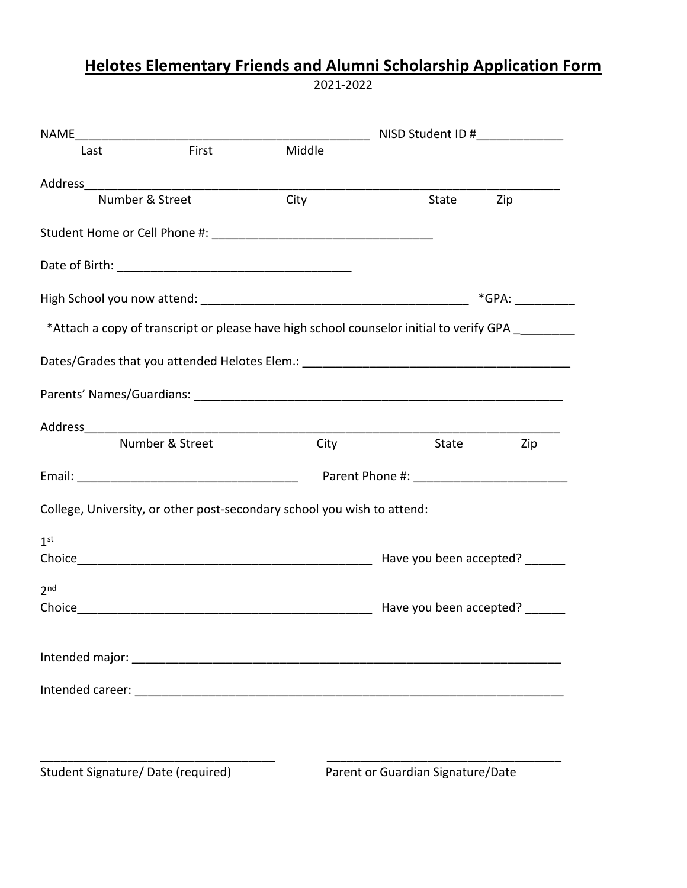## Helotes Elementary Friends and Alumni Scholarship Application Form

2021-2022

|                 |                 |                                                                         | NISD Student ID #                                                                       |     |  |
|-----------------|-----------------|-------------------------------------------------------------------------|-----------------------------------------------------------------------------------------|-----|--|
| Last            | <b>First</b>    | Middle                                                                  |                                                                                         |     |  |
|                 |                 |                                                                         |                                                                                         |     |  |
| Number & Street |                 | City                                                                    | State                                                                                   | Zip |  |
|                 |                 |                                                                         |                                                                                         |     |  |
|                 |                 |                                                                         |                                                                                         |     |  |
|                 |                 |                                                                         | $*$ GPA: $\_\_\_\_\_\_\_\_\_\_\_\_\_\_\_\_\_$                                           |     |  |
|                 |                 |                                                                         | *Attach a copy of transcript or please have high school counselor initial to verify GPA |     |  |
|                 |                 |                                                                         |                                                                                         |     |  |
|                 |                 |                                                                         |                                                                                         |     |  |
|                 |                 |                                                                         |                                                                                         |     |  |
|                 | Number & Street | City                                                                    | State                                                                                   | Zip |  |
|                 |                 |                                                                         |                                                                                         |     |  |
|                 |                 | College, University, or other post-secondary school you wish to attend: |                                                                                         |     |  |
| 1 <sup>st</sup> |                 |                                                                         |                                                                                         |     |  |
|                 |                 |                                                                         |                                                                                         |     |  |
| 2 <sub>nd</sub> |                 |                                                                         |                                                                                         |     |  |
|                 |                 |                                                                         | Have you been accepted?                                                                 |     |  |
|                 |                 |                                                                         |                                                                                         |     |  |
|                 |                 |                                                                         |                                                                                         |     |  |
|                 |                 |                                                                         |                                                                                         |     |  |
|                 |                 |                                                                         |                                                                                         |     |  |
|                 |                 |                                                                         |                                                                                         |     |  |

Student Signature/ Date (required) Parent or Guardian Signature/Date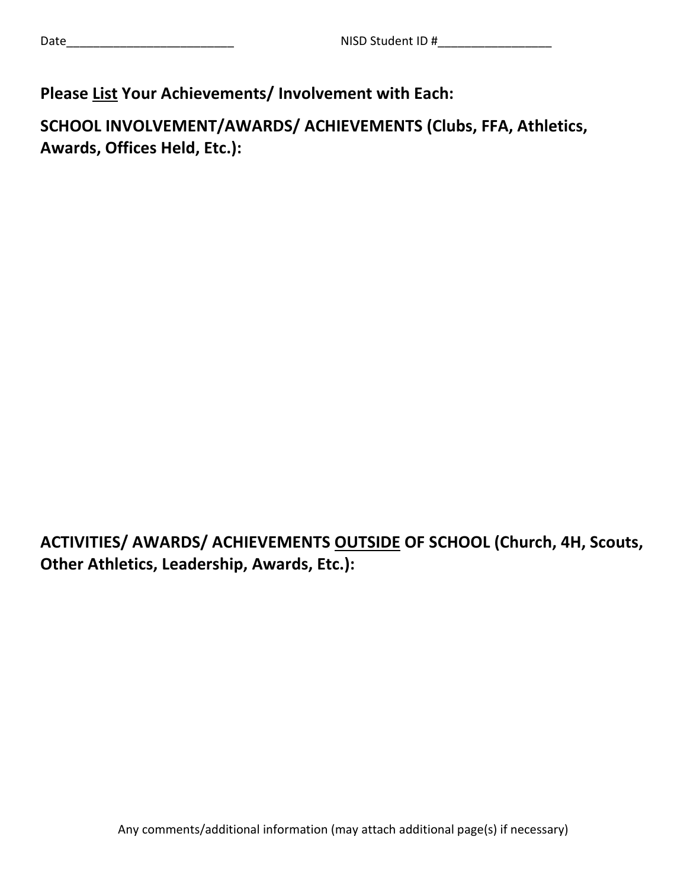## Please List Your Achievements/ Involvement with Each:

SCHOOL INVOLVEMENT/AWARDS/ ACHIEVEMENTS (Clubs, FFA, Athletics, Awards, Offices Held, Etc.):

ACTIVITIES/ AWARDS/ ACHIEVEMENTS OUTSIDE OF SCHOOL (Church, 4H, Scouts, Other Athletics, Leadership, Awards, Etc.):